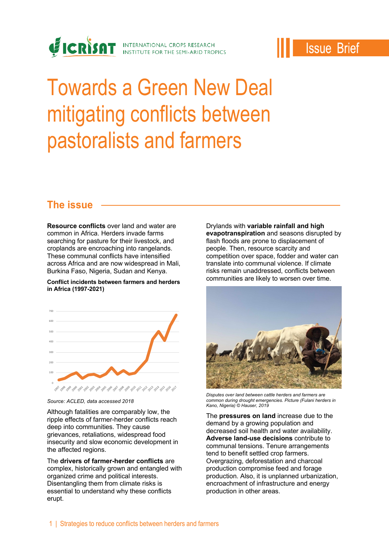

## **Issue Brief**

# Towards a Green New Deal mitigating conflicts between pastoralists and farmers

#### **The issue**

**Resource conflicts** over land and water are common in Africa. Herders invade farms searching for pasture for their livestock, and croplands are encroaching into rangelands. These communal conflicts have intensified across Africa and are now widespread in Mali, Burkina Faso, Nigeria, Sudan and Kenya.

#### **Conflict incidents between farmers and herders in Africa (1997-2021)**



*Source: ACLED, data accessed 2018*

Although fatalities are comparably low, the ripple effects of farmer-herder conflicts reach deep into communities. They cause grievances, retaliations, widespread food insecurity and slow economic development in the affected regions.

The **drivers of farmer-herder conflicts** are complex, historically grown and entangled with organized crime and political interests. Disentangling them from climate risks is essential to understand why these conflicts erupt.

Drylands with **variable rainfall and high evapotranspiration** and seasons disrupted by flash floods are prone to displacement of people. Then, resource scarcity and competition over space, fodder and water can translate into communal violence. If climate risks remain unaddressed, conflicts between communities are likely to worsen over time.



*Disputes over land between cattle herders and farmers are common during drought emergencies. Picture (Fulani herders in Kano, Nigeria) © Hauser, 2019*

The **pressures on land** increase due to the demand by a growing population and decreased soil health and water availability. **Adverse land-use decisions** contribute to communal tensions. Tenure arrangements tend to benefit settled crop farmers. Overgrazing, deforestation and charcoal production compromise feed and forage production. Also, it is unplanned urbanization, encroachment of infrastructure and energy production in other areas.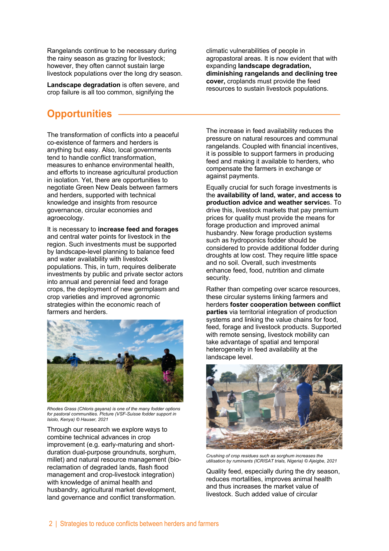Rangelands continue to be necessary during the rainy season as grazing for livestock; however, they often cannot sustain large livestock populations over the long dry season.

**Landscape degradation** is often severe, and crop failure is all too common, signifying the

### **Opportunities**

The transformation of conflicts into a peaceful co-existence of farmers and herders is anything but easy. Also, local governments tend to handle conflict transformation, measures to enhance environmental health, and efforts to increase agricultural production in isolation. Yet, there are opportunities to negotiate Green New Deals between farmers and herders, supported with technical knowledge and insights from resource governance, circular economies and agroecology.

It is necessary to **increase feed and forages** and central water points for livestock in the region. Such investments must be supported by landscape-level planning to balance feed and water availability with livestock populations. This, in turn, requires deliberate investments by public and private sector actors into annual and perennial feed and forage crops, the deployment of new germplasm and crop varieties and improved agronomic strategies within the economic reach of farmers and herders.



*Rhodes Grass (Chloris gayana) is one of the many fodder options for pastoral communities. Picture (VSF-Suisse fodder support in Isiolo, Kenya) © Hauser, 2021*

Through our research we explore ways to combine technical advances in crop improvement (e.g. early-maturing and shortduration dual-purpose groundnuts, sorghum, millet) and natural resource management (bioreclamation of degraded lands, flash flood management and crop-livestock integration) with knowledge of animal health and husbandry, agricultural market development, land governance and conflict transformation.

climatic vulnerabilities of people in agropastoral areas. It is now evident that with expanding **landscape degradation, diminishing rangelands and declining tree cover,** croplands must provide the feed resources to sustain livestock populations.

The increase in feed availability reduces the pressure on natural resources and communal rangelands. Coupled with financial incentives, it is possible to support farmers in producing feed and making it available to herders, who compensate the farmers in exchange or against payments.

Equally crucial for such forage investments is the **availability of land, water, and access to production advice and weather service**s. To .<br>drive this, livestock markets that pay premium prices for quality must provide the means for forage production and improved animal husbandry. New forage production systems such as hydroponics fodder should be considered to provide additional fodder during droughts at low cost. They require little space and no soil. Overall, such investments enhance feed, food, nutrition and climate security.

Rather than competing over scarce resources, these circular systems linking farmers and herders **foster cooperation between conflict parties** via territorial integration of production systems and linking the value chains for food, feed, forage and livestock products. Supported with remote sensing, livestock mobility can take advantage of spatial and temporal heterogeneity in feed availability at the landscape level.



*Crushing of crop residues such as sorghum increases the utilisation by ruminants (ICRISAT trials, Nigeria) © Ajeigbe, 2021*

Quality feed, especially during the dry season, reduces mortalities, improves animal health and thus increases the market value of livestock. Such added value of circular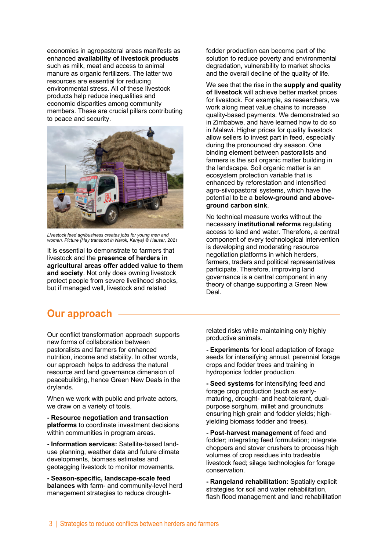economies in agropastoral areas manifests as enhanced **availability of livestock products** such as milk, meat and access to animal manure as organic fertilizers. The latter two resources are essential for reducing environmental stress. All of these livestock products help reduce inequalities and economic disparities among community members. These are crucial pillars contributing to peace and security.



*Livestock feed agribusiness creates jobs for young men and women. Picture (Hay transport in Narok, Kenya) © Hauser, 2021*

It is essential to demonstrate to farmers that livestock and the **presence of herders in agricultural areas offer added value to them and society**. Not only does owning livestock protect people from severe livelihood shocks, but if managed well, livestock and related

fodder production can become part of the solution to reduce poverty and environmental degradation, vulnerability to market shocks and the overall decline of the quality of life.

We see that the rise in the **supply and quality of livestock** will achieve better market prices for livestock. For example, as researchers, we work along meat value chains to increase quality-based payments. We demonstrated so in Zimbabwe, and have learned how to do so in Malawi. Higher prices for quality livestock allow sellers to invest part in feed, especially during the pronounced dry season. One binding element between pastoralists and farmers is the soil organic matter building in the landscape. Soil organic matter is an ecosystem protection variable that is enhanced by reforestation and intensified agro-silvopastoral systems, which have the potential to be a **below-ground and aboveground carbon sink**.

No technical measure works without the necessary **institutional reforms** regulating access to land and water. Therefore, a central component of every technological intervention is developing and moderating resource negotiation platforms in which herders, farmers, traders and political representatives participate. Therefore, improving land governance is a central component in any theory of change supporting a Green New Deal.

#### **Our approach**

Our conflict transformation approach supports new forms of collaboration between pastoralists and farmers for enhanced nutrition, income and stability. In other words, our approach helps to address the natural resource and land governance dimension of peacebuilding, hence Green New Deals in the drylands.

When we work with public and private actors, we draw on a variety of tools.

**- Resource negotiation and transaction platforms** to coordinate investment decisions within communities in program areas.

**- Information services:** Satellite-based landuse planning, weather data and future climate developments, biomass estimates and geotagging livestock to monitor movements.

**- Season-specific, landscape-scale feed balances** with farm- and community-level herd management strategies to reduce droughtrelated risks while maintaining only highly productive animals.

**- Experiments** for local adaptation of forage seeds for intensifying annual, perennial forage crops and fodder trees and training in hydroponics fodder production.

**- Seed systems** for intensifying feed and forage crop production (such as earlymaturing, drought- and heat-tolerant, dualpurpose sorghum, millet and groundnuts ensuring high grain and fodder yields; highyielding biomass fodder and trees).

**- Post-harvest management** of feed and fodder; integrating feed formulation; integrate choppers and stover crushers to process high volumes of crop residues into tradeable livestock feed; silage technologies for forage conservation.

**- Rangeland rehabilitation:** Spatially explicit strategies for soil and water rehabilitation, flash flood management and land rehabilitation